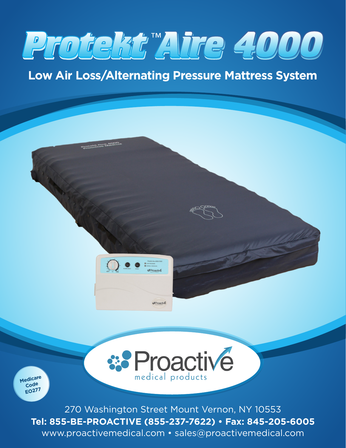# **Protekt Aire 4000 Protekt Aire 4000**

## **Low Air Loss/Alternating Pressure Mattress System**

Procedur Pare Region



**Medicare Code EO277**

> 270 Washington Street Mount Vernon, NY 10553 **Tel: 855-BE-PROACTIVE (855-237-7622) • Fax: 845-205-6005** www.proactivemedical.com • sales@proactivemedical.com

medical products